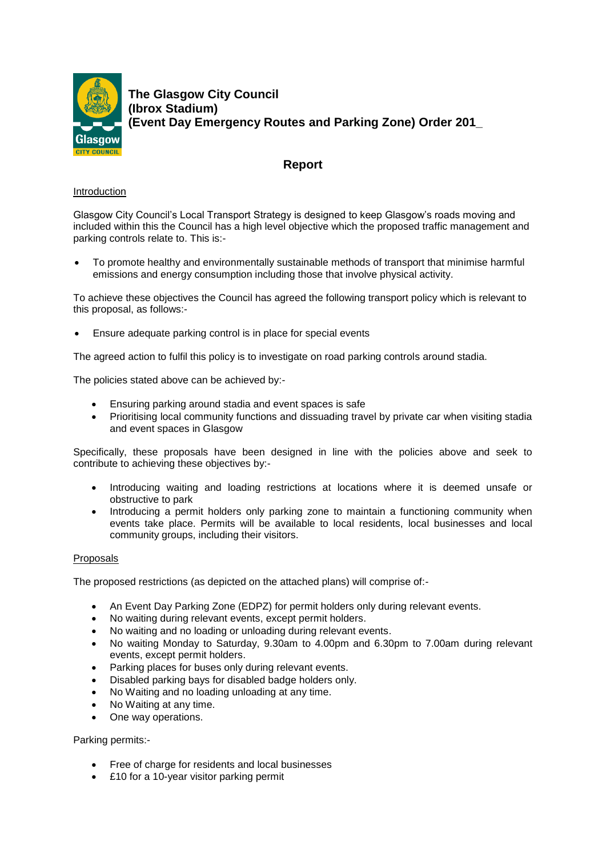

**The Glasgow City Council (Ibrox Stadium) (Event Day Emergency Routes and Parking Zone) Order 201\_**

# **Report**

# Introduction

Glasgow City Council's Local Transport Strategy is designed to keep Glasgow's roads moving and included within this the Council has a high level objective which the proposed traffic management and parking controls relate to. This is:-

 To promote healthy and environmentally sustainable methods of transport that minimise harmful emissions and energy consumption including those that involve physical activity.

To achieve these objectives the Council has agreed the following transport policy which is relevant to this proposal, as follows:-

Ensure adequate parking control is in place for special events

The agreed action to fulfil this policy is to investigate on road parking controls around stadia.

The policies stated above can be achieved by:-

- Ensuring parking around stadia and event spaces is safe
- Prioritising local community functions and dissuading travel by private car when visiting stadia and event spaces in Glasgow

Specifically, these proposals have been designed in line with the policies above and seek to contribute to achieving these objectives by:-

- Introducing waiting and loading restrictions at locations where it is deemed unsafe or obstructive to park
- Introducing a permit holders only parking zone to maintain a functioning community when events take place. Permits will be available to local residents, local businesses and local community groups, including their visitors.

## Proposals

The proposed restrictions (as depicted on the attached plans) will comprise of:-

- An Event Day Parking Zone (EDPZ) for permit holders only during relevant events.
- No waiting during relevant events, except permit holders.
- No waiting and no loading or unloading during relevant events.
- No waiting Monday to Saturday, 9.30am to 4.00pm and 6.30pm to 7.00am during relevant events, except permit holders.
- Parking places for buses only during relevant events.
- Disabled parking bays for disabled badge holders only.
- No Waiting and no loading unloading at any time.
- No Waiting at any time.
- One way operations.

Parking permits:-

- Free of charge for residents and local businesses
- £10 for a 10-year visitor parking permit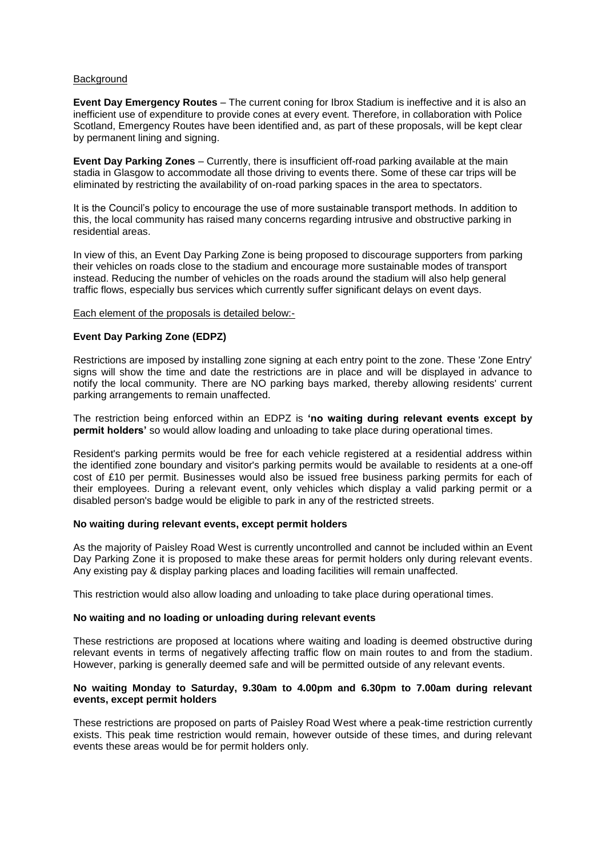## **Background**

**Event Day Emergency Routes** – The current coning for Ibrox Stadium is ineffective and it is also an inefficient use of expenditure to provide cones at every event. Therefore, in collaboration with Police Scotland, Emergency Routes have been identified and, as part of these proposals, will be kept clear by permanent lining and signing.

**Event Day Parking Zones** – Currently, there is insufficient off-road parking available at the main stadia in Glasgow to accommodate all those driving to events there. Some of these car trips will be eliminated by restricting the availability of on-road parking spaces in the area to spectators.

It is the Council's policy to encourage the use of more sustainable transport methods. In addition to this, the local community has raised many concerns regarding intrusive and obstructive parking in residential areas.

In view of this, an Event Day Parking Zone is being proposed to discourage supporters from parking their vehicles on roads close to the stadium and encourage more sustainable modes of transport instead. Reducing the number of vehicles on the roads around the stadium will also help general traffic flows, especially bus services which currently suffer significant delays on event days.

## Each element of the proposals is detailed below:-

## **Event Day Parking Zone (EDPZ)**

Restrictions are imposed by installing zone signing at each entry point to the zone. These 'Zone Entry' signs will show the time and date the restrictions are in place and will be displayed in advance to notify the local community. There are NO parking bays marked, thereby allowing residents' current parking arrangements to remain unaffected.

The restriction being enforced within an EDPZ is **'no waiting during relevant events except by permit holders'** so would allow loading and unloading to take place during operational times.

Resident's parking permits would be free for each vehicle registered at a residential address within the identified zone boundary and visitor's parking permits would be available to residents at a one-off cost of £10 per permit. Businesses would also be issued free business parking permits for each of their employees. During a relevant event, only vehicles which display a valid parking permit or a disabled person's badge would be eligible to park in any of the restricted streets.

## **No waiting during relevant events, except permit holders**

As the majority of Paisley Road West is currently uncontrolled and cannot be included within an Event Day Parking Zone it is proposed to make these areas for permit holders only during relevant events. Any existing pay & display parking places and loading facilities will remain unaffected.

This restriction would also allow loading and unloading to take place during operational times.

# **No waiting and no loading or unloading during relevant events**

These restrictions are proposed at locations where waiting and loading is deemed obstructive during relevant events in terms of negatively affecting traffic flow on main routes to and from the stadium. However, parking is generally deemed safe and will be permitted outside of any relevant events.

## **No waiting Monday to Saturday, 9.30am to 4.00pm and 6.30pm to 7.00am during relevant events, except permit holders**

These restrictions are proposed on parts of Paisley Road West where a peak-time restriction currently exists. This peak time restriction would remain, however outside of these times, and during relevant events these areas would be for permit holders only.